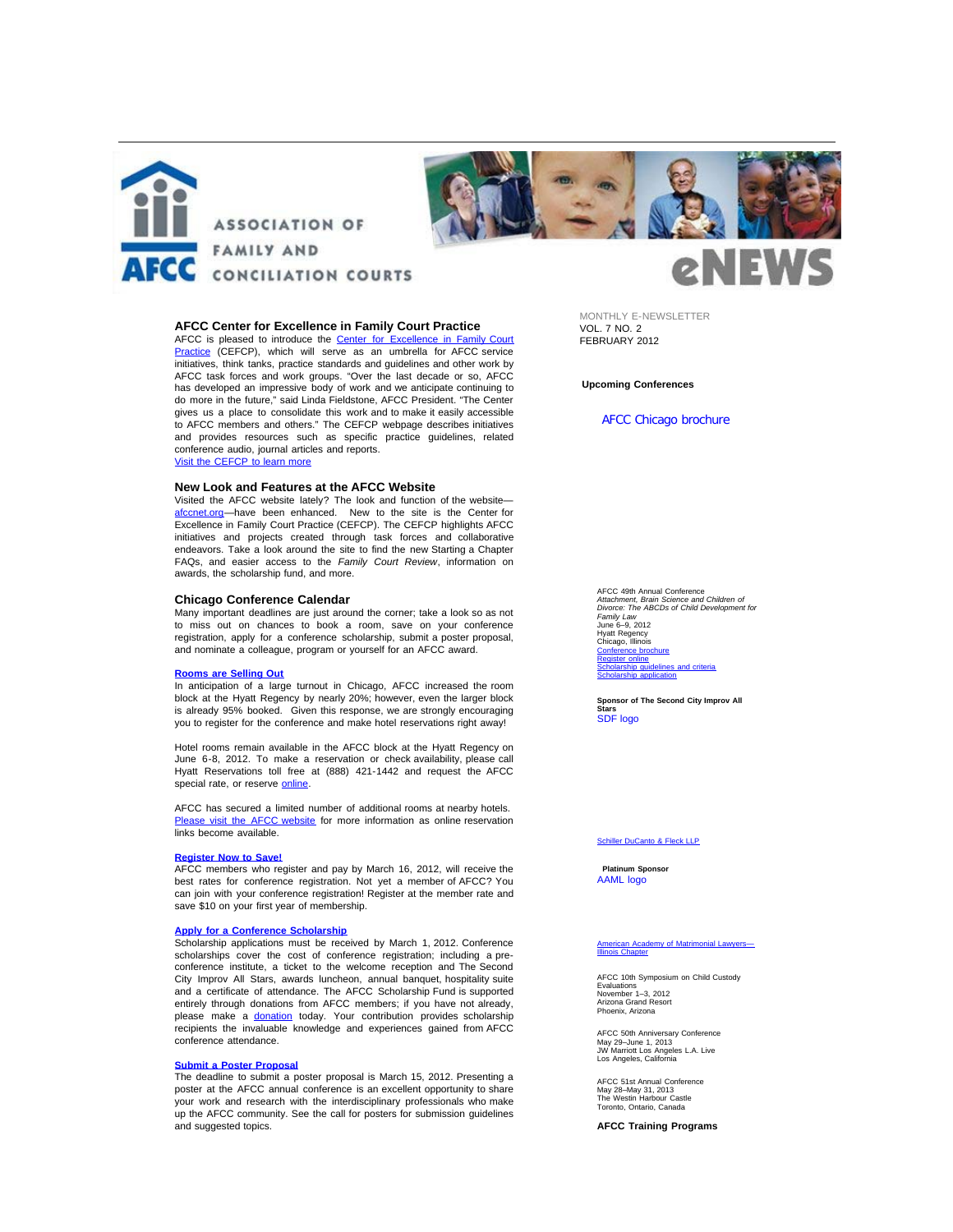



# **AFCC Center for Excellence in Family Court Practice**

AFCC is pleased to introduce the <u>[Center for Excellence in Family Court](http://afcc.networkats.com/members_online/utilities/emailct.asp?945237bb9e08501d9dfb09ce3299813be3aecdf692746e237f5161e21c0c7abab8553853a7485e25)</u><br><u>[Practice](http://afcc.networkats.com/members_online/utilities/emailct.asp?945237bb9e08501d9dfb09ce3299813be3aecdf692746e237f5161e21c0c7abab8553853a7485e25)</u> (CEFCP), which will serve as an umbrella for AFCC service initiatives, think tanks, practice standards and guidelines and other work by AFCC task forces and work groups. "Over the last decade or so, AFCC has developed an impressive body of work and we anticipate continuing to do more in the future," said Linda Fieldstone, AFCC President. "The Center gives us a place to consolidate this work and to make it easily accessible to AFCC members and others." The CEFCP webpage describes initiatives and provides resources such as specific practice guidelines, related conference audio, journal articles and reports. [Visit the CEFCP to learn more](http://afcc.networkats.com/members_online/utilities/emailct.asp?945237bb9e08501d9dfb09ce3299813be3aecdf692746e237f5161e21c0c7abab8553853a7485e25)

## **New Look and Features at the AFCC Website**

Visited the AFCC website lately? The look and function of the website [afccnet.org](http://afcc.networkats.com/members_online/utilities/emailct.asp?f62f722625db74ef72bc797c822c3c20773d1b5292746e237f5161e21c0c7abab8553853a7485e25)-have been enhanced. New to the site is the Center for Excellence in Family Court Practice (CEFCP). The CEFCP highlights AFCC initiatives and projects created through task forces and collaborative endeavors. Take a look around the site to find the new Starting a Chapter FAQs, and easier access to the *Family Court Review*, information on awards, the scholarship fund, and more.

### **Chicago Conference Calendar**

Many important deadlines are just around the corner; take a look so as not to miss out on chances to book a room, save on your conference registration, apply for a conference scholarship, submit a poster proposal, and nominate a colleague, program or yourself for an AFCC award.

## **[Rooms](http://afcc.networkats.com/members_online/utilities/emailct.asp?980bee746cff7612472cf744984a7432fa13581a92746e237f5161e21c0c7abab8553853a7485e25) are Selling Out**

In anticipation of a large turnout in Chicago, AFCC increased the room block at the Hyatt Regency by nearly 20%; however, even the larger block is already 95% booked. Given this response, we are strongly encouraging you to register for the conference and make hotel reservations right away!

Hotel rooms remain available in the AFCC block at the Hyatt Regency on June 6-8, 2012. To make a reservation or check availability, please call Hyatt Reservations toll free at (888) 421-1442 and request the AFCC special rate, or reserve [online](http://afcc.networkats.com/members_online/utilities/emailct.asp?e35f8c9a8ad21ee049b5a0c83110c6dbb637f46492746e237f5161e21c0c7abab8553853a7485e25).

AFCC has secured a limited number of additional rooms at nearby hotels. [Please visit the AFCC website](http://afcc.networkats.com/members_online/utilities/emailct.asp?980bee746cff7612472cf744984a7432fa13581a92746e237f5161e21c0c7abab8553853a7485e25) for more information as online reservation links become available.

#### **[Register](http://afcc.networkats.com/members_online/utilities/emailct.asp?79c38016fedc546aa44e9efa47916e708862dbb192746e237f5161e21c0c7abab8553853a7485e25) Now to Save!**

AFCC members who register and pay by March 16, 2012, will receive the best rates for conference registration. Not yet a member of AFCC? You can join with your conference registration! Register at the member rate and save \$10 on your first year of membership.

### **Apply for a Conference [Scholarship](http://afcc.networkats.com/members_online/utilities/emailct.asp?980bee746cff7612472cf744984a7432fa13581a92746e237f5161e21c0c7abab8553853a7485e25)**

Scholarship applications must be received by March 1, 2012. Conference scholarships cover the cost of conference registration; including a preconference institute, a ticket to the welcome reception and The Second City Improv All Stars, awards luncheon, annual banquet, hospitality suite and a certificate of attendance. The AFCC Scholarship Fund is supported entirely through donations from AFCC members; if you have not already, please make a <u>donation</u> today. Your contribution provides scholarship<br>recipients the invaluable knowledge and experiences gained from AFCC conference attendance.

#### **Submit a Poster [Proposal](http://afcc.networkats.com/members_online/utilities/emailct.asp?980bee746cff7612472cf744984a7432fa13581a92746e237f5161e21c0c7abab8553853a7485e25)**

The deadline to submit a poster proposal is March 15, 2012. Presenting a poster at the AFCC annual conference is an excellent opportunity to share your work and research with the interdisciplinary professionals who make up the AFCC community. See the call for posters for submission guidelines and suggested topics.

MONTHLY E-NEWSLETTER VOL. 7 NO. 2 FEBRUARY 2012

**Upcoming Conferences**

[AFCC Chicago brochure](http://afcc.networkats.com/members_online/utilities/emailct.asp?4891be89bc0b644d0b1927b16f1464e4340584d992746e237f5161e21c0c7abab8553853a7485e25)

**NEW** 

AFCC 49th Annual Conference *Attachment, Brain Science and Children of Divorce: The ABCDs of Child Development for Family Law* June 6–9, 2012 Hyatt Regency Chicago, Illinois<br><u>[Conference brochure](http://afcc.networkats.com/members_online/utilities/emailct.asp?4891be89bc0b644d0b1927b16f1464e4340584d992746e237f5161e21c0c7abab8553853a7485e25)</u> [Register online](http://afcc.networkats.com/members_online/utilities/emailct.asp?79c38016fedc546aa44e9efa47916e708862dbb192746e237f5161e21c0c7abab8553853a7485e25) [Scholarship guidelines and criteria](http://afcc.networkats.com/members_online/utilities/emailct.asp?7953f2eaa0cdcefb0ca86683404d46db1dd1b1e092746e237f5161e21c0c7abab8553853a7485e25) [Scholarship application](http://afcc.networkats.com/members_online/utilities/emailct.asp?c11dabe953954c5fa526dc31c1d55875cc4f805f92746e237f5161e21c0c7abab8553853a7485e25)

**Sponsor of The Second City Improv All Stars** [SDF logo](http://afcc.networkats.com/members_online/utilities/emailct.asp?5aafe285e2e11a95109436aa14d987de6564a04192746e237f5161e21c0c7abab8553853a7485e25)

### [Schiller DuCanto & Fleck LLP](http://afcc.networkats.com/members_online/utilities/emailct.asp?5aafe285e2e11a95109436aa14d987de6564a04192746e237f5161e21c0c7abab8553853a7485e25)

**Platinum Sponsor** [AAML logo](http://afcc.networkats.com/members_online/utilities/emailct.asp?cca07a51b1ab1af814c3354fb534e0334a61fd5092746e237f5161e21c0c7abab8553853a7485e25)

#### v of Matrimonial Lawyers– **American Acade**<br>[Illinois Chapter](http://afcc.networkats.com/members_online/utilities/emailct.asp?cca07a51b1ab1af814c3354fb534e0334a61fd5092746e237f5161e21c0c7abab8553853a7485e25)

AFCC 10th Symposium on Child Custody Evaluations November 1–3, 2012 Arizona Grand Resort Phoenix, Arizona

AFCC 50th Anniversary Conference May 29–June 1, 2013 JW Marriott Los Angeles L.A. Live Los Angeles, California

AFCC 51st Annual Conference May 28–May 31, 2013 The Westin Harbour Castle Toronto, Ontario, Canada

**AFCC Training Programs**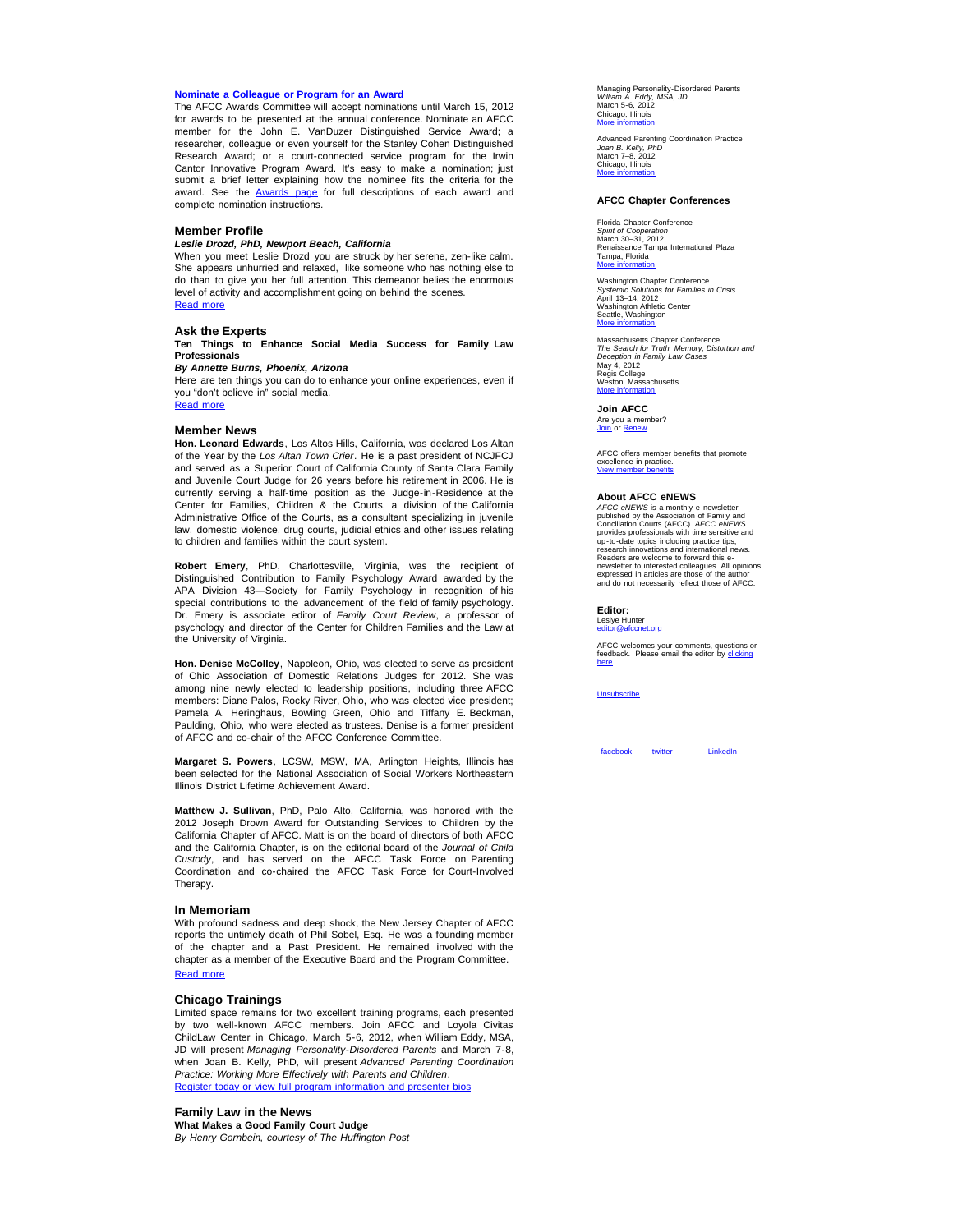## **Nominate a [Colleague](http://afcc.networkats.com/members_online/utilities/emailct.asp?87fcff3556b1d0cb4e207dfde77cb88b262dcbef92746e237f5161e21c0c7abab8553853a7485e25) or Program for an Award**

The AFCC Awards Committee will accept nominations until March 15, 2012 for awards to be presented at the annual conference. Nominate an AFCC member for the John E. VanDuzer Distinguished Service Award; a researcher, colleague or even yourself for the Stanley Cohen Distinguished Research Award; or a court-connected service program for the Irwin Cantor Innovative Program Award. It's easy to make a nomination; just submit a brief letter explaining how the nominee fits the criteria for the award. See the **[Awards page](http://afcc.networkats.com/members_online/utilities/emailct.asp?2386b73acb982e1e4e08bd1c847ccf5a4d1496a492746e237f5161e21c0c7abab8553853a7485e25)** for full descriptions of each award and complete nomination instructions.

### **Member Profile**

### *Leslie Drozd, PhD, Newport Beach, California*

When you meet Leslie Drozd you are struck by her serene, zen-like calm. She appears unhurried and relaxed, like someone who has nothing else to do than to give you her full attention. This demeanor belies the enormous level of activity and accomplishment going on behind the scenes. [Read more](http://afcc.networkats.com/members_online/utilities/emailct.asp?5be241c21a38c734a97e2a35a398f54f9c960a4692746e237f5161e21c0c7abab8553853a7485e25)

# **Ask the Experts**

**Ten Things to Enhance Social Media Success for Family Law Professionals**

## *By Annette Burns, Phoenix, Arizona*

Here are ten things you can do to enhance your online experiences, even if you "don't believe in" social media. [Read more](http://afcc.networkats.com/members_online/utilities/emailct.asp?697dd21315a2cf42a9890df1ccbf90c7a0b165c692746e237f5161e21c0c7abab8553853a7485e25)

#### **Member News**

**Hon. Leonard Edwards**, Los Altos Hills, California, was declared Los Altan of the Year by the *Los Altan Town Crier*. He is a past president of NCJFCJ and served as a Superior Court of California County of Santa Clara Family and Juvenile Court Judge for 26 years before his retirement in 2006. He is currently serving a half-time position as the Judge-in-Residence at the Center for Families, Children & the Courts, a division of the California Administrative Office of the Courts, as a consultant specializing in juvenile law, domestic violence, drug courts, judicial ethics and other issues relating to children and families within the court system.

**Robert Emery**, PhD, Charlottesville, Virginia, was the recipient of Distinguished Contribution to Family Psychology Award awarded by the APA Division 43—Society for Family Psychology in recognition of his special contributions to the advancement of the field of family psychology. Dr. Emery is associate editor of *Family Court Review*, a professor of psychology and director of the Center for Children Families and the Law at the University of Virginia.

**Hon. Denise McColley**, Napoleon, Ohio, was elected to serve as president of Ohio Association of Domestic Relations Judges for 2012. She was among nine newly elected to leadership positions, including three AFCC members: Diane Palos, Rocky River, Ohio, who was elected vice president; Pamela A. Heringhaus, Bowling Green, Ohio and Tiffany E. Beckman, Paulding, Ohio, who were elected as trustees. Denise is a former president of AFCC and co-chair of the AFCC Conference Committee.

**Margaret S. Powers**, LCSW, MSW, MA, Arlington Heights, Illinois has been selected for the National Association of Social Workers Northeastern Illinois District Lifetime Achievement Award.

**Matthew J. Sullivan**, PhD, Palo Alto, California, was honored with the 2012 Joseph Drown Award for Outstanding Services to Children by the California Chapter of AFCC. Matt is on the board of directors of both AFCC and the California Chapter, is on the editorial board of the *Journal of Child Custody*, and has served on the AFCC Task Force on Parenting Coordination and co-chaired the AFCC Task Force for Court-Involved Therapy.

#### **In Memoriam**

With profound sadness and deep shock, the New Jersey Chapter of AFCC reports the untimely death of Phil Sobel, Esq. He was a founding member of the chapter and a Past President. He remained involved with the chapter as a member of the Executive Board and the Program Committee. [Read more](http://afcc.networkats.com/members_online/utilities/emailct.asp?4fce7ed9baf2f32c6148a10796b829c6528142a492746e237f5161e21c0c7abab8553853a7485e25)

### **Chicago Trainings**

Limited space remains for two excellent training programs, each presented by two well-known AFCC members. Join AFCC and Loyola Civitas ChildLaw Center in Chicago, March 5-6, 2012, when William Eddy, MSA, JD will present *Managing Personality-Disordered Parents* and March 7-8, when Joan B. Kelly, PhD, will present *Advanced Parenting Coordination Practice: Working More Effectively with Parents and Children*. [Register today or view full program information and presenter bios](http://afcc.networkats.com/members_online/utilities/emailct.asp?db940e4d1e385342b1ae6d5b210be0a8a1ae881892746e237f5161e21c0c7abab8553853a7485e25)

**Family Law in the News What Makes a Good Family Court Judge** *By Henry Gornbein, courtesy of The Huffington Post* Managing Personality-Disordered Parents *William A. Eddy, MSA, JD*<br>March 5-6, 2012<br>Chicago, Illinois<br><u>[More information](http://afcc.networkats.com/members_online/utilities/emailct.asp?db940e4d1e385342b1ae6d5b210be0a8a1ae881892746e237f5161e21c0c7abab8553853a7485e25)</u>

Advanced Parenting Coordination Practice<br>*Joan B. Kelly, PhD*<br>March 7–8, 2012<br>Chicago, Illinois<br><u>Chicago, Illinois</u>

### **AFCC Chapter Conferences**

Florida Chapter Conference *Spirit of Cooperation* March 30–31, 2012 Renaissance Tampa International Plaza Tampa, Florida More inf

Washington Chapter Conference *Systemic Solutions for Families in Crisis*<br>April 13–14, 2012<br>Washington Athletic Center<br>Seattle, Washington **More** informati

Massachusetts Chapter Conference *The Search for Truth: Memory, Distortion and Deception in Family Law Cases* May 4, 2012 Regis College Weston, Massachusetts More in

**Join AFCC** Are you a member?<br><u>[Join](http://afcc.networkats.com/members_online/utilities/emailct.asp?484cd69e094f8e709bf476f29bf5371a3675747b92746e237f5161e21c0c7abab8553853a7485e25)</u> or <u>[Renew](http://afcc.networkats.com/members_online/utilities/emailct.asp?b4b42a951d82820f18239ede3d3e337360ee957f92746e237f5161e21c0c7abab8553853a7485e25)</u>

AFCC offers member benefits that promote excellence in practice [View member benefits](http://afcc.networkats.com/members_online/utilities/emailct.asp?7c847dd06646a8ab2a6399e2b1c7f435b1b8b48092746e237f5161e21c0c7abab8553853a7485e25)

### **About AFCC eNEWS**

*AFCC eNEWS* is a monthly e-newsletter<br>published by the Association of Family and published by the Association of Family and<br>Conciliation Courts (AFCC). AFCC eMEWS<br>provides professionals with time sensitive and<br>up-to-date topics including practice tips,<br>research innovations and international news.<br>Reade

### **Editor:**

Leslye Hunter<br><u>[editor@afccnet.org](mailto:editor@afccnet.org)</u>

AFCC welcomes your comments, questions or<br>feedback. Please email the editor by [clicking](mailto:editor@afccnet.org) [here](mailto:editor@afccnet.org).

[Unsubscribe](mailto:afcc@afccnet.org)

[facebook](http://afcc.networkats.com/members_online/utilities/emailct.asp?ca231716a9d24ac686d4aa30dd38cf9ef7d26d4792746e237f5161e21c0c7abab8553853a7485e25) twitter [LinkedIn](http://afcc.networkats.com/members_online/utilities/emailct.asp?c2cd46518ba5c4675427c7c3211967953b3405a792746e237f5161e21c0c7abab8553853a7485e25) [twitter](http://afcc.networkats.com/members_online/utilities/emailct.asp?5e3d077410036087e4579b3b272a98e45169c67492746e237f5161e21c0c7abab8553853a7485e25)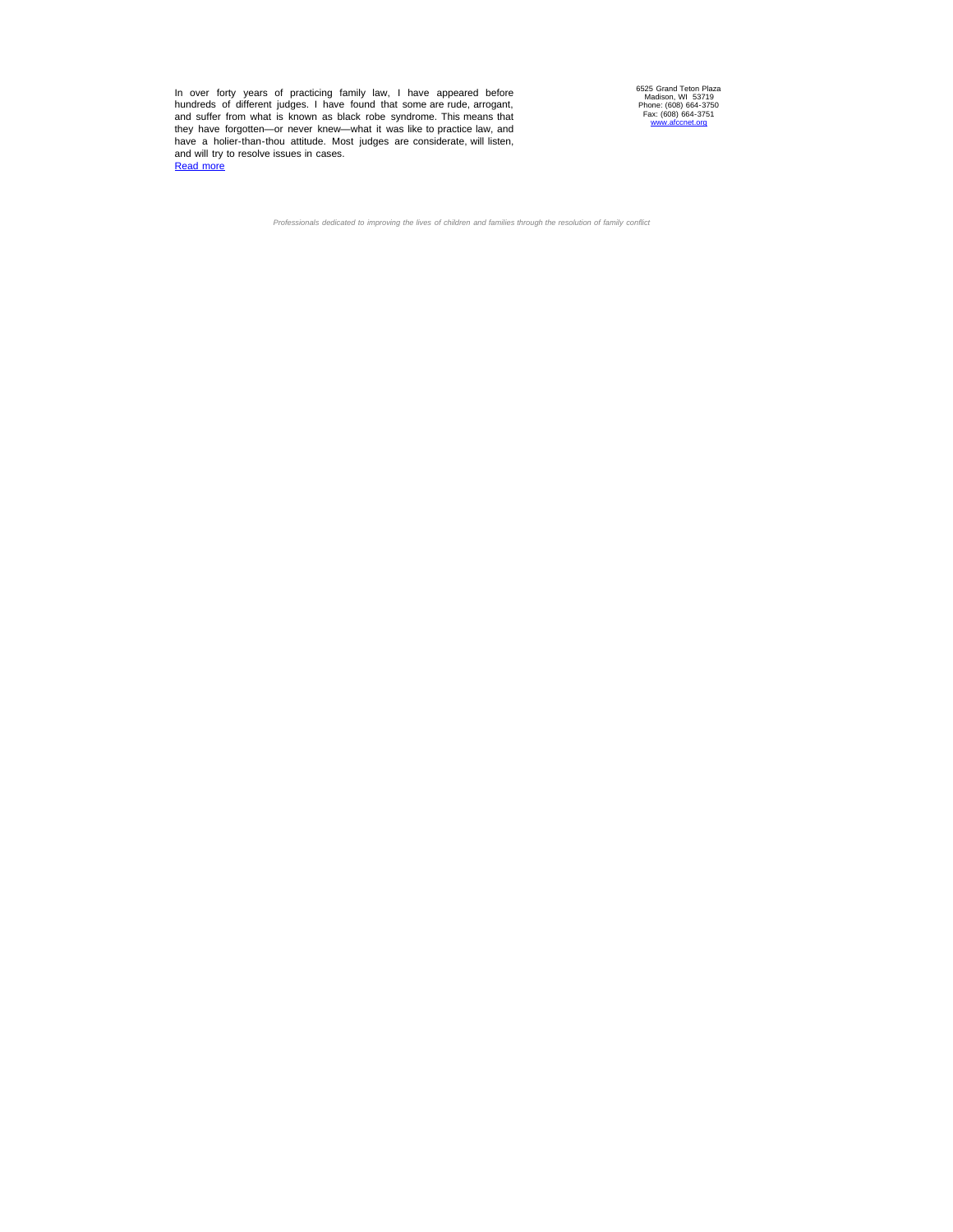In over forty years of practicing family law, I have appeared before<br>hundreds of different judges. I have found that some are rude, arrogant,<br>and suffer from what is known as black robe syndrome. This means that<br>they have

6525 Grand Teton Plaza Madison, WI 53719 Phone: (608) 664-3750 Fax: (608) 664-3751 [www.afccnet.org](http://afcc.networkats.com/members_online/utilities/emailct.asp?f62f722625db74ef72bc797c822c3c20773d1b5292746e237f5161e21c0c7abab8553853a7485e25)

*Professionals dedicated to improving the lives of children and families through the resolution of family conflict*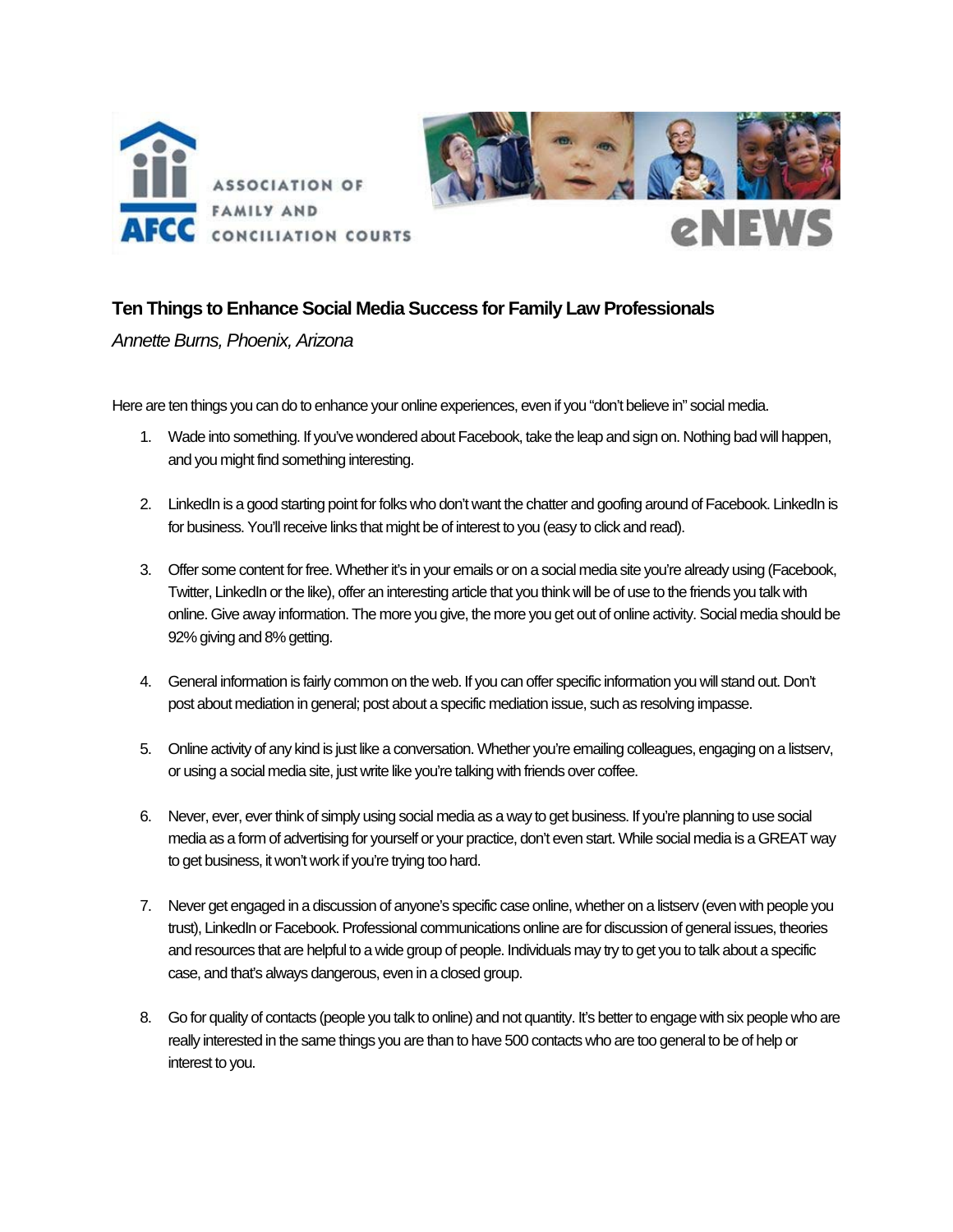



# **Ten Things to Enhance Social Media Success for Family Law Professionals**

*Annette Burns, Phoenix, Arizona* 

Here are ten things you can do to enhance your online experiences, even if you "don't believe in" social media.

- 1. Wade into something. If you've wondered about Facebook, take the leap and sign on. Nothing bad will happen, and you might find something interesting.
- 2. LinkedIn is a good starting point for folks who don't want the chatter and goofing around of Facebook. LinkedIn is for business. You'll receive links that might be of interest to you (easy to click and read).
- 3. Offer some content for free. Whether it's in your emails or on a social media site you're already using (Facebook, Twitter, LinkedIn or the like), offer an interesting article that you think will be of use to the friends you talk with online. Give away information. The more you give, the more you get out of online activity. Social media should be 92% giving and 8% getting.
- 4. General information is fairly common on the web. If you can offer specific information you will stand out. Don't post about mediation in general; post about a specific mediation issue, such as resolving impasse.
- 5. Online activity of any kind is just like a conversation. Whether you're emailing colleagues, engaging on a listserv, or using a social media site, just write like you're talking with friends over coffee.
- 6. Never, ever, ever think of simply using social media as a way to get business. If you're planning to use social media as a form of advertising for yourself or your practice, don't even start. While social media is a GREAT way to get business, it won't work if you're trying too hard.
- 7. Never get engaged in a discussion of anyone's specific case online, whether on a listserv (even with people you trust), LinkedIn or Facebook. Professional communications online are for discussion of general issues, theories and resources that are helpful to a wide group of people. Individuals may try to get you to talk about a specific case, and that's always dangerous, even in a closed group.
- 8. Go for quality of contacts (people you talk to online) and not quantity. It's better to engage with six people who are really interested in the same things you are than to have 500 contacts who are too general to be of help or interest to you.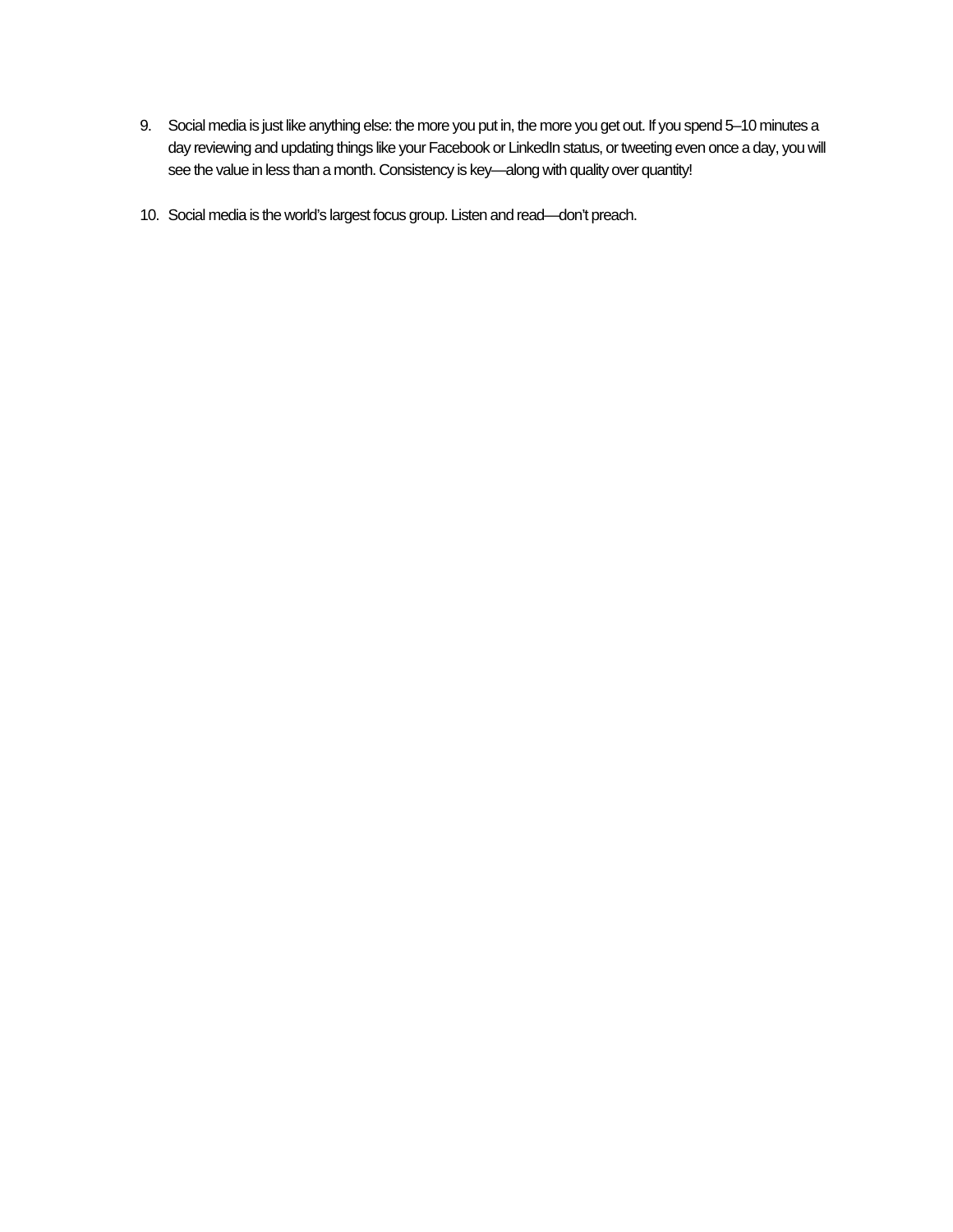- 9. Social media is just like anything else: the more you put in, the more you get out. If you spend 5-10 minutes a day reviewing and updating things like your Facebook or LinkedIn status, or tweeting even once a day, you will see the value in less than a month. Consistency is key—along with quality over quantity!
- 10. Social media is the world's largest focus group. Listen and read—don't preach.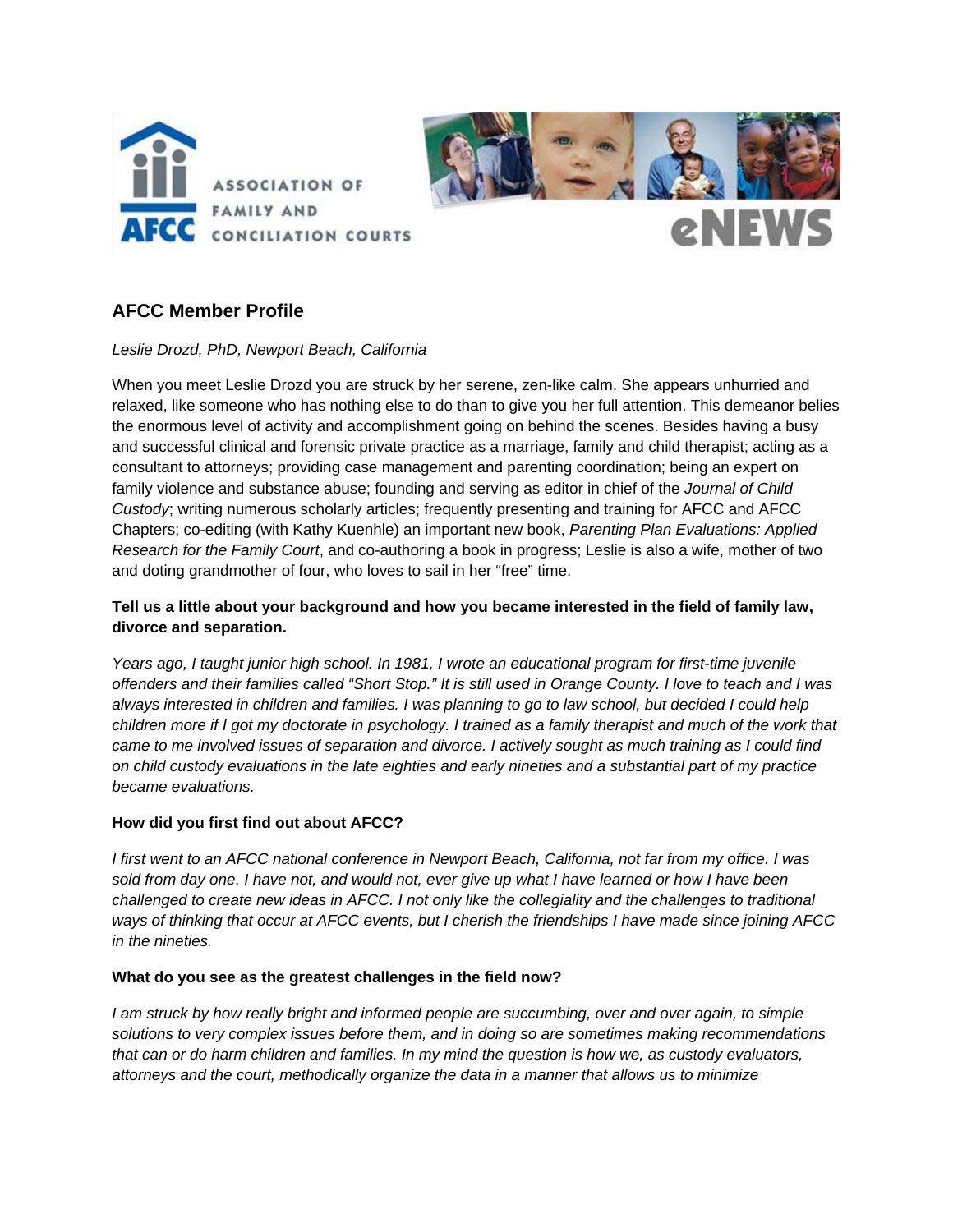



# **AFCC Member Profile**

*Leslie Drozd, PhD, Newport Beach, California* 

When you meet Leslie Drozd you are struck by her serene, zen-like calm. She appears unhurried and relaxed, like someone who has nothing else to do than to give you her full attention. This demeanor belies the enormous level of activity and accomplishment going on behind the scenes. Besides having a busy and successful clinical and forensic private practice as a marriage, family and child therapist; acting as a consultant to attorneys; providing case management and parenting coordination; being an expert on family violence and substance abuse; founding and serving as editor in chief of the *Journal of Child Custody*; writing numerous scholarly articles; frequently presenting and training for AFCC and AFCC Chapters; co-editing (with Kathy Kuenhle) an important new book, *Parenting Plan Evaluations: Applied Research for the Family Court*, and co-authoring a book in progress; Leslie is also a wife, mother of two and doting grandmother of four, who loves to sail in her "free" time.

# **Tell us a little about your background and how you became interested in the field of family law, divorce and separation.**

Years ago, I taught junior high school. In 1981, I wrote an educational program for first-time juvenile *offenders and their families called "Short Stop." It is still used in Orange County. I love to teach and I was always interested in children and families. I was planning to go to law school, but decided I could help children more if I got my doctorate in psychology. I trained as a family therapist and much of the work that came to me involved issues of separation and divorce. I actively sought as much training as I could find on child custody evaluations in the late eighties and early nineties and a substantial part of my practice became evaluations.* 

# **How did you first find out about AFCC?**

*I first went to an AFCC national conference in Newport Beach, California, not far from my office. I was sold from day one. I have not, and would not, ever give up what I have learned or how I have been challenged to create new ideas in AFCC. I not only like the collegiality and the challenges to traditional ways of thinking that occur at AFCC events, but I cherish the friendships I have made since joining AFCC in the nineties.* 

# **What do you see as the greatest challenges in the field now?**

*I* am struck by how really bright and informed people are succumbing, over and over again, to simple *solutions to very complex issues before them, and in doing so are sometimes making recommendations that can or do harm children and families. In my mind the question is how we, as custody evaluators, attorneys and the court, methodically organize the data in a manner that allows us to minimize*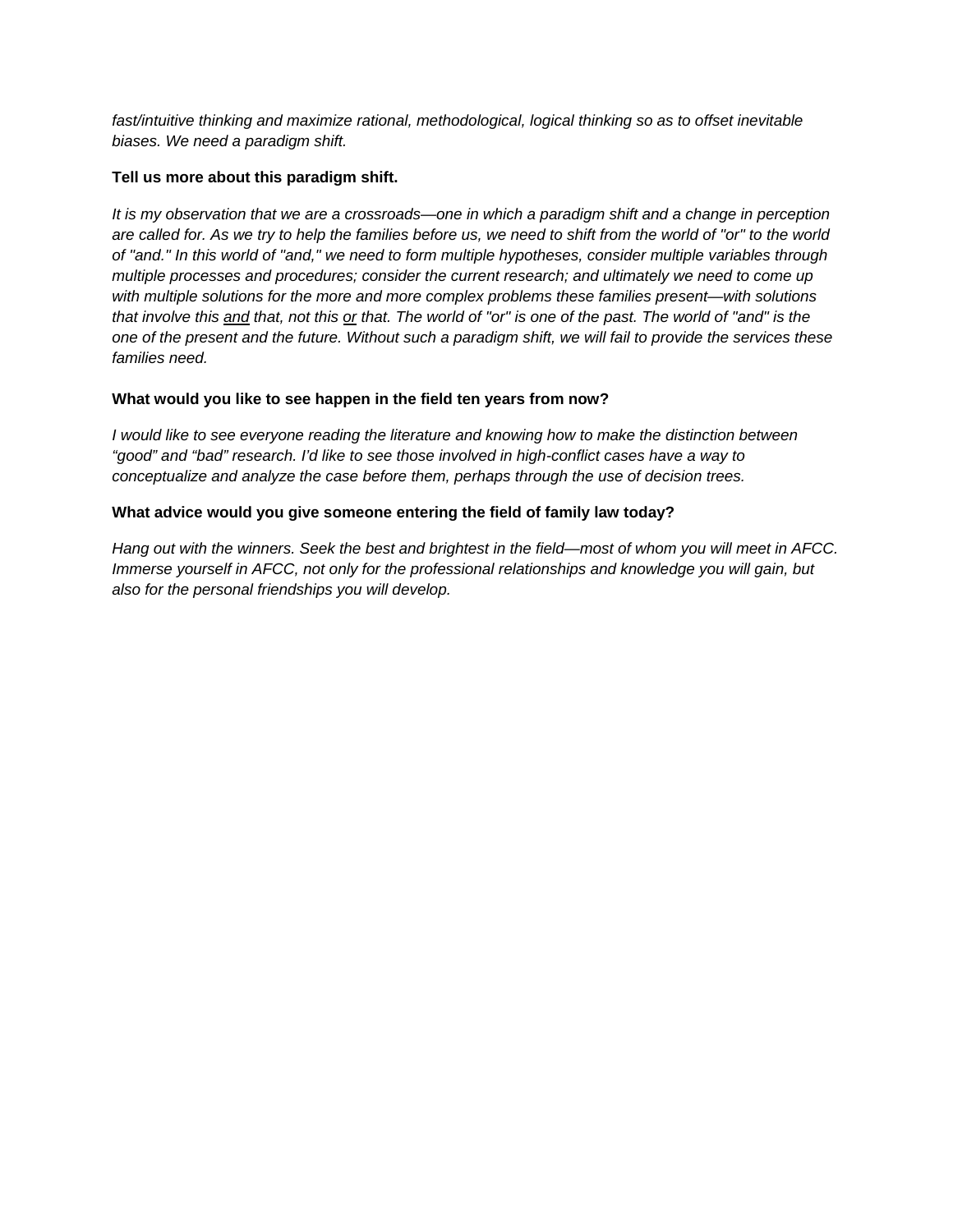*fast/intuitive thinking and maximize rational, methodological, logical thinking so as to offset inevitable biases. We need a paradigm shift.* 

# **Tell us more about this paradigm shift.**

*It is my observation that we are a crossroads—one in which a paradigm shift and a change in perception are called for. As we try to help the families before us, we need to shift from the world of "or" to the world of "and." In this world of "and," we need to form multiple hypotheses, consider multiple variables through multiple processes and procedures; consider the current research; and ultimately we need to come up with multiple solutions for the more and more complex problems these families present—with solutions that involve this and that, not this or that. The world of "or" is one of the past. The world of "and" is the one of the present and the future. Without such a paradigm shift, we will fail to provide the services these families need.* 

# **What would you like to see happen in the field ten years from now?**

*I would like to see everyone reading the literature and knowing how to make the distinction between "good" and "bad" research. I'd like to see those involved in high-conflict cases have a way to conceptualize and analyze the case before them, perhaps through the use of decision trees.* 

# **What advice would you give someone entering the field of family law today?**

*Hang out with the winners. Seek the best and brightest in the field—most of whom you will meet in AFCC. Immerse yourself in AFCC, not only for the professional relationships and knowledge you will gain, but also for the personal friendships you will develop.*